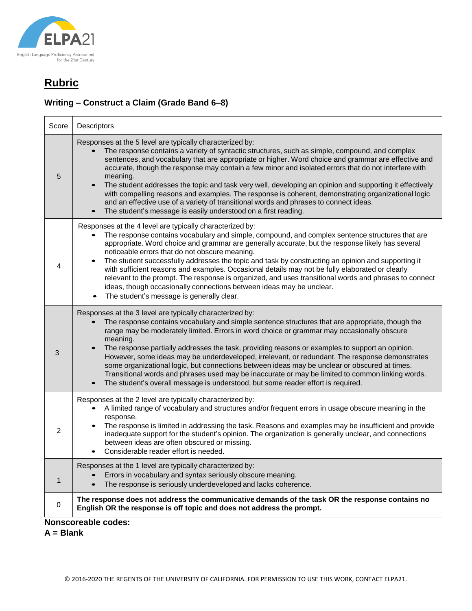

## **Writing – Construct a Claim (Grade Band 6–8)**

| Score                      | Descriptors                                                                                                                                                                                                                                                                                                                                                                                                                                                                                                                                                                                                                                                                                                                                                          |  |
|----------------------------|----------------------------------------------------------------------------------------------------------------------------------------------------------------------------------------------------------------------------------------------------------------------------------------------------------------------------------------------------------------------------------------------------------------------------------------------------------------------------------------------------------------------------------------------------------------------------------------------------------------------------------------------------------------------------------------------------------------------------------------------------------------------|--|
| 5                          | Responses at the 5 level are typically characterized by:<br>The response contains a variety of syntactic structures, such as simple, compound, and complex<br>sentences, and vocabulary that are appropriate or higher. Word choice and grammar are effective and<br>accurate, though the response may contain a few minor and isolated errors that do not interfere with<br>meaning.<br>The student addresses the topic and task very well, developing an opinion and supporting it effectively<br>with compelling reasons and examples. The response is coherent, demonstrating organizational logic<br>and an effective use of a variety of transitional words and phrases to connect ideas.<br>The student's message is easily understood on a first reading.    |  |
| 4                          | Responses at the 4 level are typically characterized by:<br>The response contains vocabulary and simple, compound, and complex sentence structures that are<br>appropriate. Word choice and grammar are generally accurate, but the response likely has several<br>noticeable errors that do not obscure meaning.<br>The student successfully addresses the topic and task by constructing an opinion and supporting it<br>with sufficient reasons and examples. Occasional details may not be fully elaborated or clearly<br>relevant to the prompt. The response is organized, and uses transitional words and phrases to connect<br>ideas, though occasionally connections between ideas may be unclear.<br>The student's message is generally clear.             |  |
| 3                          | Responses at the 3 level are typically characterized by:<br>The response contains vocabulary and simple sentence structures that are appropriate, though the<br>range may be moderately limited. Errors in word choice or grammar may occasionally obscure<br>meaning.<br>The response partially addresses the task, providing reasons or examples to support an opinion.<br>However, some ideas may be underdeveloped, irrelevant, or redundant. The response demonstrates<br>some organizational logic, but connections between ideas may be unclear or obscured at times.<br>Transitional words and phrases used may be inaccurate or may be limited to common linking words.<br>The student's overall message is understood, but some reader effort is required. |  |
| $\overline{2}$             | Responses at the 2 level are typically characterized by:<br>A limited range of vocabulary and structures and/or frequent errors in usage obscure meaning in the<br>response.<br>The response is limited in addressing the task. Reasons and examples may be insufficient and provide<br>inadequate support for the student's opinion. The organization is generally unclear, and connections<br>between ideas are often obscured or missing.<br>Considerable reader effort is needed.                                                                                                                                                                                                                                                                                |  |
| $\mathbf 1$                | Responses at the 1 level are typically characterized by:<br>Errors in vocabulary and syntax seriously obscure meaning.<br>The response is seriously underdeveloped and lacks coherence.                                                                                                                                                                                                                                                                                                                                                                                                                                                                                                                                                                              |  |
| 0                          | The response does not address the communicative demands of the task OR the response contains no<br>English OR the response is off topic and does not address the prompt.                                                                                                                                                                                                                                                                                                                                                                                                                                                                                                                                                                                             |  |
| <b>Nonscoreable codes:</b> |                                                                                                                                                                                                                                                                                                                                                                                                                                                                                                                                                                                                                                                                                                                                                                      |  |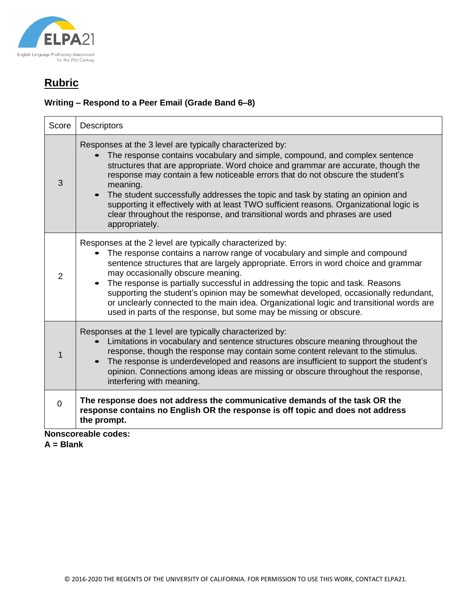

## **Writing – Respond to a Peer Email (Grade Band 6–8)**

| Score    | <b>Descriptors</b>                                                                                                                                                                                                                                                                                                                                                                                                                                                                                                                                                                                            |
|----------|---------------------------------------------------------------------------------------------------------------------------------------------------------------------------------------------------------------------------------------------------------------------------------------------------------------------------------------------------------------------------------------------------------------------------------------------------------------------------------------------------------------------------------------------------------------------------------------------------------------|
| 3        | Responses at the 3 level are typically characterized by:<br>The response contains vocabulary and simple, compound, and complex sentence<br>structures that are appropriate. Word choice and grammar are accurate, though the<br>response may contain a few noticeable errors that do not obscure the student's<br>meaning.<br>The student successfully addresses the topic and task by stating an opinion and<br>supporting it effectively with at least TWO sufficient reasons. Organizational logic is<br>clear throughout the response, and transitional words and phrases are used<br>appropriately.      |
| 2        | Responses at the 2 level are typically characterized by:<br>The response contains a narrow range of vocabulary and simple and compound<br>sentence structures that are largely appropriate. Errors in word choice and grammar<br>may occasionally obscure meaning.<br>The response is partially successful in addressing the topic and task. Reasons<br>supporting the student's opinion may be somewhat developed, occasionally redundant,<br>or unclearly connected to the main idea. Organizational logic and transitional words are<br>used in parts of the response, but some may be missing or obscure. |
| 1        | Responses at the 1 level are typically characterized by:<br>Limitations in vocabulary and sentence structures obscure meaning throughout the<br>response, though the response may contain some content relevant to the stimulus.<br>The response is underdeveloped and reasons are insufficient to support the student's<br>opinion. Connections among ideas are missing or obscure throughout the response,<br>interfering with meaning.                                                                                                                                                                     |
| $\Omega$ | The response does not address the communicative demands of the task OR the<br>response contains no English OR the response is off topic and does not address<br>the prompt.                                                                                                                                                                                                                                                                                                                                                                                                                                   |

**Nonscoreable codes:**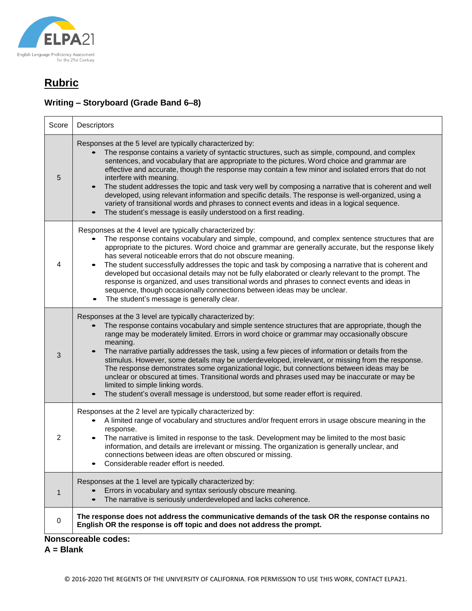

 $\overline{\phantom{a}}$ 

 $\blacksquare$ 

## **Writing – Storyboard (Grade Band 6–8)**

| Score | Descriptors                                                                                                                                                                                                                                                                                                                                                                                                                                                                                                                                                                                                                                                                                                                                                                                           |
|-------|-------------------------------------------------------------------------------------------------------------------------------------------------------------------------------------------------------------------------------------------------------------------------------------------------------------------------------------------------------------------------------------------------------------------------------------------------------------------------------------------------------------------------------------------------------------------------------------------------------------------------------------------------------------------------------------------------------------------------------------------------------------------------------------------------------|
| 5     | Responses at the 5 level are typically characterized by:<br>The response contains a variety of syntactic structures, such as simple, compound, and complex<br>sentences, and vocabulary that are appropriate to the pictures. Word choice and grammar are<br>effective and accurate, though the response may contain a few minor and isolated errors that do not<br>interfere with meaning.<br>The student addresses the topic and task very well by composing a narrative that is coherent and well<br>developed, using relevant information and specific details. The response is well-organized, using a<br>variety of transitional words and phrases to connect events and ideas in a logical sequence.<br>The student's message is easily understood on a first reading.                         |
| 4     | Responses at the 4 level are typically characterized by:<br>The response contains vocabulary and simple, compound, and complex sentence structures that are<br>appropriate to the pictures. Word choice and grammar are generally accurate, but the response likely<br>has several noticeable errors that do not obscure meaning.<br>The student successfully addresses the topic and task by composing a narrative that is coherent and<br>developed but occasional details may not be fully elaborated or clearly relevant to the prompt. The<br>response is organized, and uses transitional words and phrases to connect events and ideas in<br>sequence, though occasionally connections between ideas may be unclear.<br>The student's message is generally clear.                              |
| 3     | Responses at the 3 level are typically characterized by:<br>The response contains vocabulary and simple sentence structures that are appropriate, though the<br>range may be moderately limited. Errors in word choice or grammar may occasionally obscure<br>meaning.<br>The narrative partially addresses the task, using a few pieces of information or details from the<br>stimulus. However, some details may be underdeveloped, irrelevant, or missing from the response.<br>The response demonstrates some organizational logic, but connections between ideas may be<br>unclear or obscured at times. Transitional words and phrases used may be inaccurate or may be<br>limited to simple linking words.<br>The student's overall message is understood, but some reader effort is required. |
| 2     | Responses at the 2 level are typically characterized by:<br>A limited range of vocabulary and structures and/or frequent errors in usage obscure meaning in the<br>response.<br>The narrative is limited in response to the task. Development may be limited to the most basic<br>information, and details are irrelevant or missing. The organization is generally unclear, and<br>connections between ideas are often obscured or missing.<br>Considerable reader effort is needed.                                                                                                                                                                                                                                                                                                                 |
| 1     | Responses at the 1 level are typically characterized by:<br>Errors in vocabulary and syntax seriously obscure meaning.<br>The narrative is seriously underdeveloped and lacks coherence.                                                                                                                                                                                                                                                                                                                                                                                                                                                                                                                                                                                                              |
| 0     | The response does not address the communicative demands of the task OR the response contains no<br>English OR the response is off topic and does not address the prompt.                                                                                                                                                                                                                                                                                                                                                                                                                                                                                                                                                                                                                              |

#### **Nonscoreable codes:**